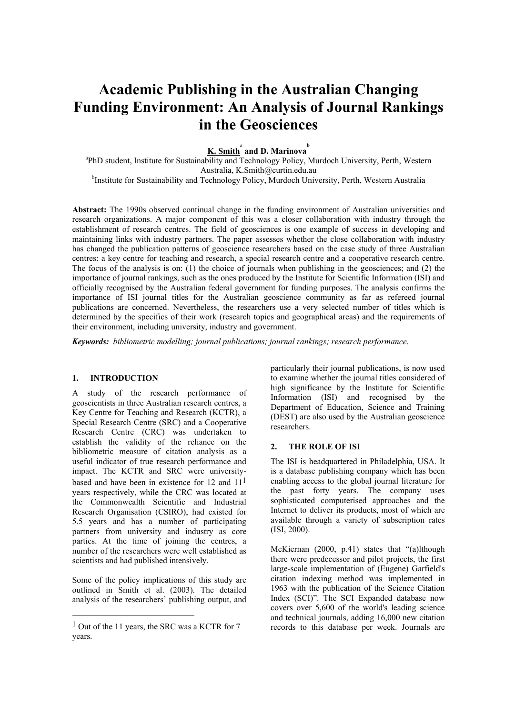# **Academic Publishing in the Australian Changing Funding Environment: An Analysis of Journal Rankings in the Geosciences**

# $\underline{\textbf{K. Smith}}^{\text{a}}$  and D. Marinova<sup>b</sup>

<sup>a</sup>PhD student, Institute for Sustainability and Technology Policy, Murdoch University, Perth, Western Australia, K.Smith@curtin.edu.au <sup>b</sup>Institute for Sustainability and Technology Policy, Murdoch University, Perth, Western Australia

**Abstract:** The 1990s observed continual change in the funding environment of Australian universities and research organizations. A major component of this was a closer collaboration with industry through the establishment of research centres. The field of geosciences is one example of success in developing and maintaining links with industry partners. The paper assesses whether the close collaboration with industry has changed the publication patterns of geoscience researchers based on the case study of three Australian centres: a key centre for teaching and research, a special research centre and a cooperative research centre. The focus of the analysis is on: (1) the choice of journals when publishing in the geosciences; and (2) the importance of journal rankings, such as the ones produced by the Institute for Scientific Information (ISI) and officially recognised by the Australian federal government for funding purposes. The analysis confirms the importance of ISI journal titles for the Australian geoscience community as far as refereed journal publications are concerned. Nevertheless, the researchers use a very selected number of titles which is determined by the specifics of their work (research topics and geographical areas) and the requirements of their environment, including university, industry and government.

*Keywords: bibliometric modelling; journal publications; journal rankings; research performance*.

#### **1. INTRODUCTION**

A study of the research performance of geoscientists in three Australian research centres, a Key Centre for Teaching and Research (KCTR), a Special Research Centre (SRC) and a Cooperative Research Centre (CRC) was undertaken to establish the validity of the reliance on the bibliometric measure of citation analysis as a useful indicator of true research performance and impact. The KCTR and SRC were university-based and have been in existence for [1](#page-0-0)2 and  $11<sup>1</sup>$ years respectively, while the CRC was located at the Commonwealth Scientific and Industrial Research Organisation (CSIRO), had existed for 5.5 years and has a number of participating partners from university and industry as core parties. At the time of joining the centres, a number of the researchers were well established as scientists and had published intensively.

Some of the policy implications of this study are outlined in Smith et al. (2003). The detailed analysis of the researchers' publishing output, and

 $\overline{a}$ 

particularly their journal publications, is now used to examine whether the journal titles considered of high significance by the Institute for Scientific Information (ISI) and recognised by the Department of Education, Science and Training (DEST) are also used by the Australian geoscience researchers.

#### **2. THE ROLE OF ISI**

The ISI is headquartered in Philadelphia, USA. It is a database publishing company which has been enabling access to the global journal literature for the past forty years. The company uses sophisticated computerised approaches and the Internet to deliver its products, most of which are available through a variety of subscription rates (ISI, 2000).

McKiernan (2000, p.41) states that "(a)lthough there were predecessor and pilot projects, the first large-scale implementation of (Eugene) Garfield's citation indexing method was implemented in 1963 with the publication of the Science Citation Index (SCI)". The SCI Expanded database now covers over 5,600 of the world's leading science and technical journals, adding 16,000 new citation records to this database per week. Journals are

<span id="page-0-0"></span><sup>&</sup>lt;sup>1</sup> Out of the 11 years, the SRC was a KCTR for 7 years.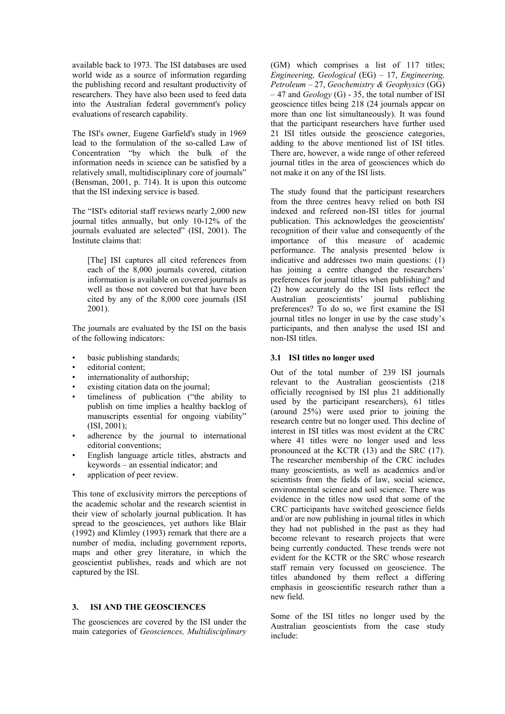available back to 1973. The ISI databases are used world wide as a source of information regarding the publishing record and resultant productivity of researchers. They have also been used to feed data into the Australian federal government's policy evaluations of research capability.

The ISI's owner, Eugene Garfield's study in 1969 lead to the formulation of the so-called Law of Concentration "by which the bulk of the information needs in science can be satisfied by a relatively small, multidisciplinary core of journals" (Bensman, 2001, p. 714). It is upon this outcome that the ISI indexing service is based.

The "ISI's editorial staff reviews nearly 2,000 new journal titles annually, but only 10-12% of the journals evaluated are selected" (ISI, 2001). The Institute claims that:

[The] ISI captures all cited references from each of the 8,000 journals covered, citation information is available on covered journals as well as those not covered but that have been cited by any of the 8,000 core journals (ISI 2001).

The journals are evaluated by the ISI on the basis of the following indicators:

- basic publishing standards;
- editorial content:
- internationality of authorship;
- existing citation data on the journal;
- timeliness of publication ("the ability to publish on time implies a healthy backlog of manuscripts essential for ongoing viability" (ISI, 2001);
- adherence by the journal to international editorial conventions;
- English language article titles, abstracts and keywords – an essential indicator; and
- application of peer review.

This tone of exclusivity mirrors the perceptions of the academic scholar and the research scientist in their view of scholarly journal publication. It has spread to the geosciences, yet authors like Blair (1992) and Klimley (1993) remark that there are a number of media, including government reports, maps and other grey literature, in which the geoscientist publishes, reads and which are not captured by the ISI.

#### **3. ISI AND THE GEOSCIENCES**

The geosciences are covered by the ISI under the main categories of *Geosciences, Multidisciplinary*

(GM) which comprises a list of 117 titles; *Engineering, Geological* (EG) – 17, *Engineering, Petroleum* – 27, *Geochemistry & Geophysics* (GG) – 47 and *Geology* (G) - 35, the total number of ISI geoscience titles being 218 (24 journals appear on more than one list simultaneously). It was found that the participant researchers have further used 21 ISI titles outside the geoscience categories, adding to the above mentioned list of ISI titles. There are, however, a wide range of other refereed journal titles in the area of geosciences which do not make it on any of the ISI lists.

The study found that the participant researchers from the three centres heavy relied on both ISI indexed and refereed non-ISI titles for journal publication. This acknowledges the geoscientists' recognition of their value and consequently of the importance of this measure of academic performance. The analysis presented below is indicative and addresses two main questions: (1) has joining a centre changed the researchers' preferences for journal titles when publishing? and (2) how accurately do the ISI lists reflect the Australian geoscientists' journal publishing preferences? To do so, we first examine the ISI journal titles no longer in use by the case study's participants, and then analyse the used ISI and non-ISI titles.

#### **3.1 ISI titles no longer used**

Out of the total number of 239 ISI journals relevant to the Australian geoscientists (218 officially recognised by ISI plus 21 additionally used by the participant researchers), 61 titles (around 25%) were used prior to joining the research centre but no longer used. This decline of interest in ISI titles was most evident at the CRC where 41 titles were no longer used and less pronounced at the KCTR (13) and the SRC (17). The researcher membership of the CRC includes many geoscientists, as well as academics and/or scientists from the fields of law, social science, environmental science and soil science. There was evidence in the titles now used that some of the CRC participants have switched geoscience fields and/or are now publishing in journal titles in which they had not published in the past as they had become relevant to research projects that were being currently conducted. These trends were not evident for the KCTR or the SRC whose research staff remain very focussed on geoscience. The titles abandoned by them reflect a differing emphasis in geoscientific research rather than a new field.

Some of the ISI titles no longer used by the Australian geoscientists from the case study include: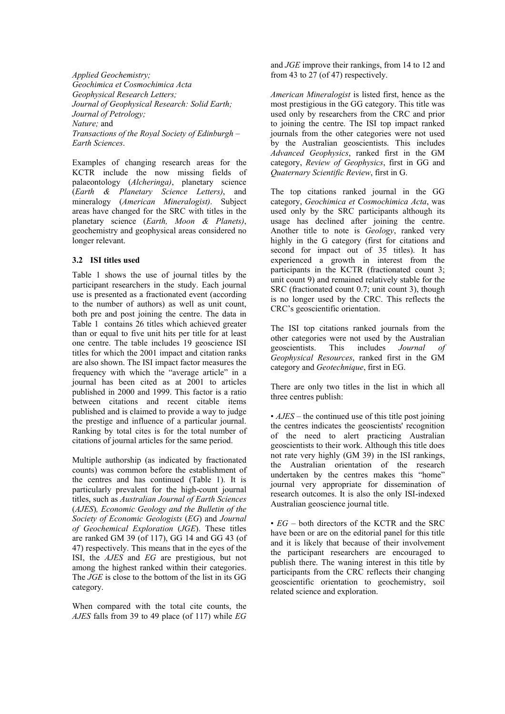*Applied Geochemistry; Geochimica et Cosmochimica Acta Geophysical Research Letters; Journal of Geophysical Research: Solid Earth; Journal of Petrology; Nature;* and *Transactions of the Royal Society of Edinburgh – Earth Sciences*.

Examples of changing research areas for the KCTR include the now missing fields of palaeontology (*Alcheringa)*, planetary science (*Earth & Planetary Science Letters)*, and mineralogy (*American Mineralogist)*. Subject areas have changed for the SRC with titles in the planetary science (*Earth, Moon & Planets)*, geochemistry and geophysical areas considered no longer relevant.

#### **3.2 ISI titles used**

Table 1 shows the use of journal titles by the participant researchers in the study. Each journal use is presented as a fractionated event (according to the number of authors) as well as unit count, both pre and post joining the centre. The data in Table 1 contains 26 titles which achieved greater than or equal to five unit hits per title for at least one centre. The table includes 19 geoscience ISI titles for which the 2001 impact and citation ranks are also shown. The ISI impact factor measures the frequency with which the "average article" in a journal has been cited as at 2001 to articles published in 2000 and 1999. This factor is a ratio between citations and recent citable items published and is claimed to provide a way to judge the prestige and influence of a particular journal. Ranking by total cites is for the total number of citations of journal articles for the same period.

Multiple authorship (as indicated by fractionated counts) was common before the establishment of the centres and has continued (Table 1). It is particularly prevalent for the high-count journal titles, such as *Australian Journal of Earth Sciences* (*AJES*)*, Economic Geology and the Bulletin of the Society of Economic Geologists* (*EG*) and *Journal of Geochemical Exploration* (*JGE*). These titles are ranked GM 39 (of 117), GG 14 and GG 43 (of 47) respectively. This means that in the eyes of the ISI, the *AJES* and *EG* are prestigious, but not among the highest ranked within their categories. The *JGE* is close to the bottom of the list in its GG category.

When compared with the total cite counts, the *AJES* falls from 39 to 49 place (of 117) while *EG* and *JGE* improve their rankings, from 14 to 12 and from 43 to 27 (of 47) respectively.

*American Mineralogist* is listed first, hence as the most prestigious in the GG category. This title was used only by researchers from the CRC and prior to joining the centre. The ISI top impact ranked journals from the other categories were not used by the Australian geoscientists. This includes *Advanced Geophysics*, ranked first in the GM category, *Review of Geophysics*, first in GG and *Quaternary Scientific Review*, first in G.

The top citations ranked journal in the GG category, *Geochimica et Cosmochimica Acta*, was used only by the SRC participants although its usage has declined after joining the centre. Another title to note is *Geology*, ranked very highly in the G category (first for citations and second for impact out of 35 titles). It has experienced a growth in interest from the participants in the KCTR (fractionated count 3; unit count 9) and remained relatively stable for the SRC (fractionated count 0.7; unit count 3), though is no longer used by the CRC. This reflects the CRC's geoscientific orientation.

The ISI top citations ranked journals from the other categories were not used by the Australian geoscientists. This includes *Journal of Geophysical Resources*, ranked first in the GM category and *Geotechnique*, first in EG.

There are only two titles in the list in which all three centres publish:

• *AJES* – the continued use of this title post joining the centres indicates the geoscientists' recognition of the need to alert practicing Australian geoscientists to their work. Although this title does not rate very highly (GM 39) in the ISI rankings, the Australian orientation of the research undertaken by the centres makes this "home" journal very appropriate for dissemination of research outcomes. It is also the only ISI-indexed Australian geoscience journal title.

• *EG* – both directors of the KCTR and the SRC have been or are on the editorial panel for this title and it is likely that because of their involvement the participant researchers are encouraged to publish there. The waning interest in this title by participants from the CRC reflects their changing geoscientific orientation to geochemistry, soil related science and exploration.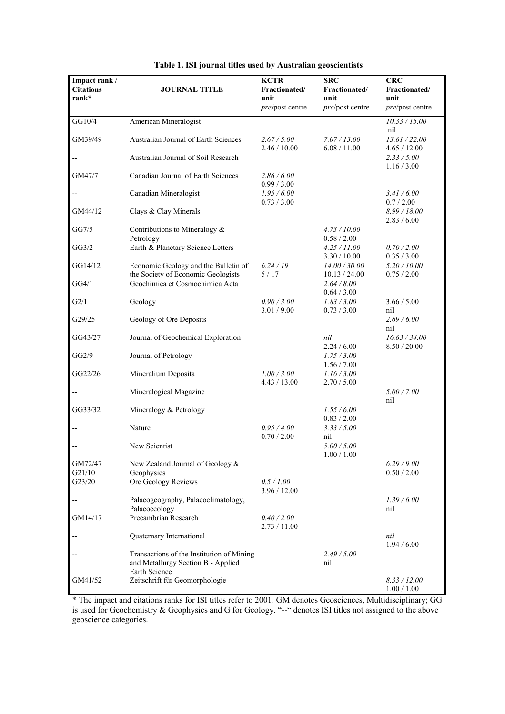| Impact rank /<br><b>Citations</b><br>rank* | <b>JOURNAL TITLE</b>                                                                             | <b>KCTR</b><br>Fractionated/<br>unit<br>pre/post centre | <b>SRC</b><br>Fractionated/<br>unit<br>pre/post centre | <b>CRC</b><br>Fractionated/<br>unit<br>pre/post centre |
|--------------------------------------------|--------------------------------------------------------------------------------------------------|---------------------------------------------------------|--------------------------------------------------------|--------------------------------------------------------|
| GG10/4                                     | American Mineralogist                                                                            |                                                         |                                                        | 10.33 / 15.00<br>nil                                   |
| GM39/49                                    | Australian Journal of Earth Sciences                                                             | 2.67 / 5.00<br>2.46 / 10.00                             | 7.07 / 13.00<br>6.08 / 11.00                           | 13.61 / 22.00<br>4.65 / 12.00                          |
|                                            | Australian Journal of Soil Research                                                              |                                                         |                                                        | 2.33 / 5.00<br>1.16 / 3.00                             |
| GM47/7                                     | Canadian Journal of Earth Sciences                                                               | 2.86 / 6.00<br>0.99 / 3.00                              |                                                        |                                                        |
|                                            | Canadian Mineralogist                                                                            | 1.95/6.00<br>0.73 / 3.00                                |                                                        | 3.41 / 6.00<br>0.7 / 2.00                              |
| GM44/12                                    | Clays & Clay Minerals                                                                            |                                                         |                                                        | 8.99 / 18.00<br>2.83 / 6.00                            |
| GG7/5                                      | Contributions to Mineralogy $\&$<br>Petrology                                                    |                                                         | 4.73 / 10.00<br>0.58 / 2.00                            |                                                        |
| GG3/2                                      | Earth & Planetary Science Letters                                                                |                                                         | 4.25 / 11.00<br>3.30 / 10.00                           | 0.70 / 2.00<br>0.35 / 3.00                             |
| GG14/12                                    | Economic Geology and the Bulletin of<br>the Society of Economic Geologists                       | 6.24/19<br>5/17                                         | 14.00 / 30.00<br>10.13 / 24.00                         | 5.20 / 10.00<br>0.75 / 2.00                            |
| GG4/1                                      | Geochimica et Cosmochimica Acta                                                                  |                                                         | 2.64 / 8.00<br>0.64 / 3.00                             |                                                        |
| G2/1                                       | Geology                                                                                          | 0.90 / 3.00<br>3.01 / 9.00                              | 1.83 / 3.00<br>0.73 / 3.00                             | 3.66 / 5.00<br>nil                                     |
| G29/25                                     | Geology of Ore Deposits                                                                          |                                                         |                                                        | 2.69/6.00<br>nil                                       |
| GG43/27                                    | Journal of Geochemical Exploration                                                               |                                                         | nil<br>2.24 / 6.00                                     | 16.63 / 34.00<br>8.50 / 20.00                          |
| GG2/9                                      | Journal of Petrology                                                                             |                                                         | 1.75 / 3.00<br>1.56 / 7.00                             |                                                        |
| GG22/26                                    | Mineralium Deposita                                                                              | 1.00 / 3.00<br>4.43 / 13.00                             | 1.16 / 3.00<br>2.70 / 5.00                             |                                                        |
|                                            | Mineralogical Magazine                                                                           |                                                         |                                                        | 5.00 / 7.00<br>nil                                     |
| GG33/32                                    | Mineralogy & Petrology                                                                           |                                                         | 1.55/6.00<br>0.83 / 2.00                               |                                                        |
|                                            | Nature                                                                                           | 0.95/4.00<br>0.70 / 2.00                                | 3.33 / 5.00<br>nil                                     |                                                        |
|                                            | New Scientist                                                                                    |                                                         | 5.00 / 5.00<br>1.00 / 1.00                             |                                                        |
| GM72/47<br>G21/10                          | New Zealand Journal of Geology &<br>Geophysics                                                   |                                                         |                                                        | 6.29/9.00<br>0.50 / 2.00                               |
| G23/20                                     | Ore Geology Reviews                                                                              | 0.5 / 1.00<br>3.96 / 12.00                              |                                                        |                                                        |
|                                            | Palaeogeography, Palaeoclimatology,<br>Palaeoecology                                             |                                                         |                                                        | 1.39/6.00<br>nil                                       |
| GM14/17                                    | Precambrian Research                                                                             | 0.40 / 2.00<br>2.73/11.00                               |                                                        |                                                        |
|                                            | Quaternary International                                                                         |                                                         |                                                        | nil<br>1.94 / 6.00                                     |
|                                            | Transactions of the Institution of Mining<br>and Metallurgy Section B - Applied<br>Earth Science |                                                         | 2.49/5.00<br>nil                                       |                                                        |
| GM41/52                                    | Zeitschrift für Geomorphologie                                                                   |                                                         |                                                        | 8.33 / 12.00<br>1.00 / 1.00                            |

|  |  | Table 1. ISI journal titles used by Australian geoscientists |
|--|--|--------------------------------------------------------------|
|  |  |                                                              |

\* The impact and citations ranks for ISI titles refer to 2001. GM denotes Geosciences, Multidisciplinary; GG is used for Geochemistry & Geophysics and G for Geology. "--" denotes ISI titles not assigned to the above geoscience categories.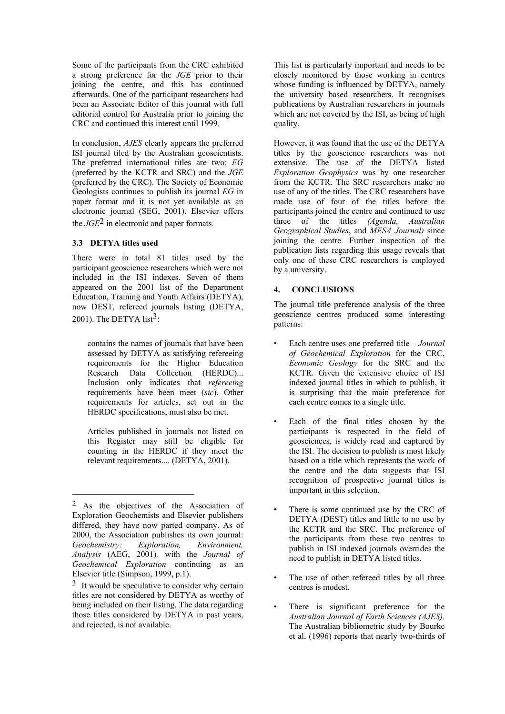Some of the participants from the CRC exhibited a strong preference for the *JGE* prior to their joining the centre, and this has continued afterwards. One of the participant researchers had been an Associate Editor of this journal with full editorial control for Australia prior to joining the CRC and continued this interest until 1999.

In conclusion, *AJES* clearly appears the preferred ISI journal tiled by the Australian geoscientists. The preferred international titles are two: *EG*  (preferred by the KCTR and SRC) and the *JGE* (preferred by the CRC). The Society of Economic Geologists continues to publish its journal *EG* in paper format and it is not yet available as an electronic journal (SEG, 2001). Elsevier offers the *JGE*[2](#page-4-0) in electronic and paper formats.

# **3.3 DETYA titles used**

 $\overline{a}$ 

There were in total 81 titles used by the participant geoscience researchers which were not included in the ISI indexes. Seven of them appeared on the 2001 list of the Department Education, Training and Youth Affairs (DETYA), now DEST, refereed journals listing (DETYA, 2001). The DETYA list $3$ :

contains the names of journals that have been assessed by DETYA as satisfying refereeing requirements for the Higher Education Research Data Collection (HERDC)... Inclusion only indicates that *refereeing* requirements have been meet (*sic*). Other requirements for articles, set out in the HERDC specifications, must also be met.

Articles published in journals not listed on this Register may still be eligible for counting in the HERDC if they meet the relevant requirements.... (DETYA, 2001).

This list is particularly important and needs to be closely monitored by those working in centres whose funding is influenced by DETYA, namely the university based researchers. It recognises publications by Australian researchers in journals which are not covered by the ISI, as being of high quality.

However, it was found that the use of the DETYA titles by the geoscience researchers was not extensive. The use of the DETYA listed *Exploration Geophysics* was by one researcher from the KCTR. The SRC researchers make no use of any of the titles. The CRC researchers have made use of four of the titles before the participants joined the centre and continued to use three of the titles *(Agenda, Australian Geographical Studies*, and *MESA Journal)* since joining the centre. Further inspection of the publication lists regarding this usage reveals that only one of these CRC researchers is employed by a university.

# **4. CONCLUSIONS**

The journal title preference analysis of the three geoscience centres produced some interesting patterns:

- Each centre uses one preferred title *Journal of Geochemical Exploration* for the CRC, *Economic Geology* for the SRC and the KCTR. Given the extensive choice of ISI indexed journal titles in which to publish, it is surprising that the main preference for each centre comes to a single title.
- Each of the final titles chosen by the participants is respected in the field of geosciences, is widely read and captured by the ISI. The decision to publish is most likely based on a title which represents the work of the centre and the data suggests that ISI recognition of prospective journal titles is important in this selection.
- There is some continued use by the CRC of DETYA (DEST) titles and little to no use by the KCTR and the SRC. The preference of the participants from these two centres to publish in ISI indexed journals overrides the need to publish in DETYA listed titles.
- The use of other refereed titles by all three
- There is significant preference for the *Australian Journal of Earth Sciences (AJES).* The Australian bibliometric study by Bourke et al. (1996) reports that nearly two-thirds of

<span id="page-4-0"></span><sup>2</sup> As the objectives of the Association of Exploration Geochemists and Elsevier publishers differed, they have now parted company. As of 2000, the Association publishes its own journal: *Geochemistry: Exploration, Environment, Analysis* (AEG, 2001)*,* with the *Journal of Geochemical Exploration* continuing as an Elsevier title (Simpson, 1999, p.1).

<span id="page-4-1"></span><sup>&</sup>lt;sup>3</sup> It would be speculative to consider why certain centres is modest. titles are not considered by DETYA as worthy of being included on their listing. The data regarding those titles considered by DETYA in past years, and rejected, is not available.